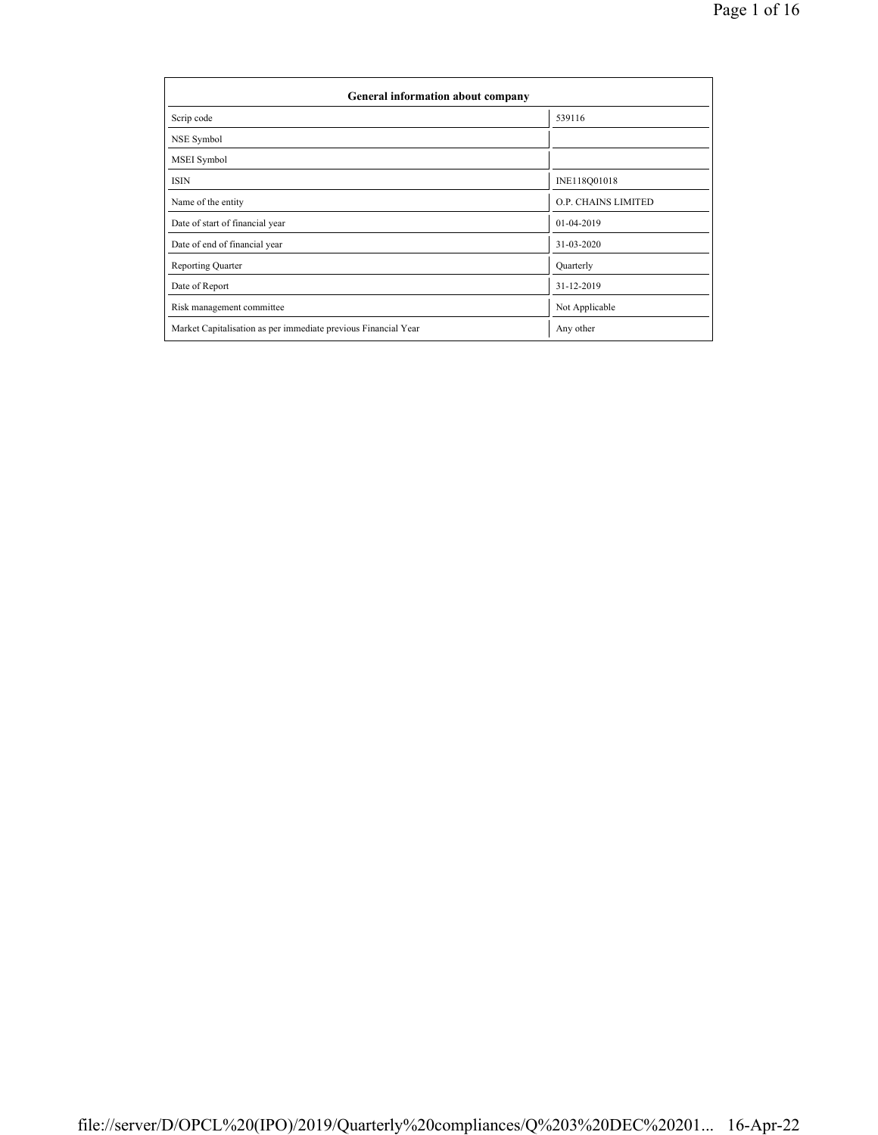| General information about company                              |                     |  |  |  |  |  |  |
|----------------------------------------------------------------|---------------------|--|--|--|--|--|--|
| Scrip code                                                     | 539116              |  |  |  |  |  |  |
| NSE Symbol                                                     |                     |  |  |  |  |  |  |
| MSEI Symbol                                                    |                     |  |  |  |  |  |  |
| <b>ISIN</b>                                                    | INE118Q01018        |  |  |  |  |  |  |
| Name of the entity                                             | O.P. CHAINS LIMITED |  |  |  |  |  |  |
| Date of start of financial year                                | 01-04-2019          |  |  |  |  |  |  |
| Date of end of financial year                                  | 31-03-2020          |  |  |  |  |  |  |
| <b>Reporting Quarter</b>                                       | Quarterly           |  |  |  |  |  |  |
| Date of Report                                                 | 31-12-2019          |  |  |  |  |  |  |
| Risk management committee                                      | Not Applicable      |  |  |  |  |  |  |
| Market Capitalisation as per immediate previous Financial Year | Any other           |  |  |  |  |  |  |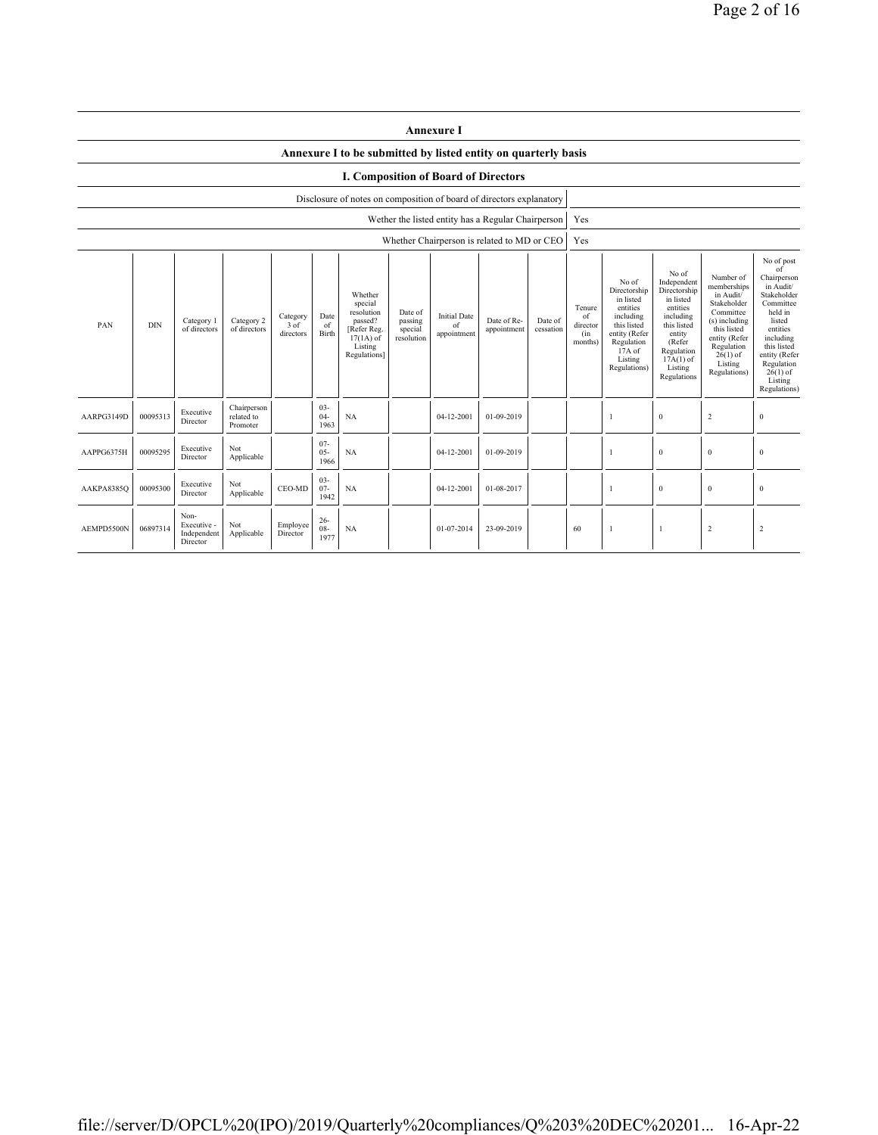|            | <b>Annexure I</b>                                                                                                                                                                                                                                                                                                                                                          |                                                |                                       |                      |                          |                                                                |                                            |                                                                                                                                                  |                                                                                                                                                                      |                                                                                                                                                                           |                                                                                                                                                                                                               |  |              |                |                  |
|------------|----------------------------------------------------------------------------------------------------------------------------------------------------------------------------------------------------------------------------------------------------------------------------------------------------------------------------------------------------------------------------|------------------------------------------------|---------------------------------------|----------------------|--------------------------|----------------------------------------------------------------|--------------------------------------------|--------------------------------------------------------------------------------------------------------------------------------------------------|----------------------------------------------------------------------------------------------------------------------------------------------------------------------|---------------------------------------------------------------------------------------------------------------------------------------------------------------------------|---------------------------------------------------------------------------------------------------------------------------------------------------------------------------------------------------------------|--|--------------|----------------|------------------|
|            |                                                                                                                                                                                                                                                                                                                                                                            |                                                |                                       |                      |                          | Annexure I to be submitted by listed entity on quarterly basis |                                            |                                                                                                                                                  |                                                                                                                                                                      |                                                                                                                                                                           |                                                                                                                                                                                                               |  |              |                |                  |
|            | <b>I. Composition of Board of Directors</b>                                                                                                                                                                                                                                                                                                                                |                                                |                                       |                      |                          |                                                                |                                            |                                                                                                                                                  |                                                                                                                                                                      |                                                                                                                                                                           |                                                                                                                                                                                                               |  |              |                |                  |
|            | Disclosure of notes on composition of board of directors explanatory                                                                                                                                                                                                                                                                                                       |                                                |                                       |                      |                          |                                                                |                                            |                                                                                                                                                  |                                                                                                                                                                      |                                                                                                                                                                           |                                                                                                                                                                                                               |  |              |                |                  |
|            |                                                                                                                                                                                                                                                                                                                                                                            |                                                |                                       |                      |                          |                                                                |                                            | Wether the listed entity has a Regular Chairperson                                                                                               |                                                                                                                                                                      |                                                                                                                                                                           | Yes                                                                                                                                                                                                           |  |              |                |                  |
|            |                                                                                                                                                                                                                                                                                                                                                                            |                                                |                                       |                      |                          |                                                                |                                            | Whether Chairperson is related to MD or CEO                                                                                                      |                                                                                                                                                                      |                                                                                                                                                                           | Yes                                                                                                                                                                                                           |  |              |                |                  |
| PAN        | Whether<br>special<br>resolution<br>Date of<br>Date<br><b>Initial Date</b><br>Category<br>Category 2<br>passed?<br>passing<br>Date of Re-<br>Category 1<br>Date of<br><b>DIN</b><br>3 of<br>of<br>of<br>of directors<br>of directors<br>[Refer Reg.<br>special<br>appointment<br>Birth<br>directors<br>appointment<br>$17(1A)$ of<br>resolution<br>Listing<br>Regulations] |                                                |                                       |                      |                          | cessation                                                      | Tenure<br>of<br>director<br>(in<br>months) | No of<br>Directorship<br>in listed<br>entities<br>including<br>this listed<br>entity (Refer<br>Regulation<br>$17A$ of<br>Listing<br>Regulations) | No of<br>Independent<br>Directorship<br>in listed<br>entities<br>including<br>this listed<br>entity<br>(Refer<br>Regulation<br>$17A(1)$ of<br>Listing<br>Regulations | Number of<br>memberships<br>in Audit/<br>Stakeholder<br>Committee<br>(s) including<br>this listed<br>entity (Refer<br>Regulation<br>$26(1)$ of<br>Listing<br>Regulations) | No of post<br>of<br>Chairperson<br>in Audit/<br>Stakeholder<br>Committee<br>held in<br>listed<br>entities<br>including<br>this listed<br>entity (Refer<br>Regulation<br>$26(1)$ of<br>Listing<br>Regulations) |  |              |                |                  |
| AARPG3149D | 00095313                                                                                                                                                                                                                                                                                                                                                                   | Executive<br>Director                          | Chairperson<br>related to<br>Promoter |                      | $03 -$<br>$04-$<br>1963  | NA                                                             |                                            | 04-12-2001                                                                                                                                       | 01-09-2019                                                                                                                                                           |                                                                                                                                                                           |                                                                                                                                                                                                               |  | $\bf{0}$     | $\sqrt{2}$     | $\boldsymbol{0}$ |
| AAPPG6375H | 00095295                                                                                                                                                                                                                                                                                                                                                                   | Executive<br>Director                          | Not<br>Applicable                     |                      | $07 -$<br>$05 -$<br>1966 | <b>NA</b>                                                      |                                            | 04-12-2001                                                                                                                                       | 01-09-2019                                                                                                                                                           |                                                                                                                                                                           |                                                                                                                                                                                                               |  | $\mathbf{0}$ | $\mathbf{0}$   | $\mathbf{0}$     |
| AAKPA8385Q | 00095300                                                                                                                                                                                                                                                                                                                                                                   | Executive<br>Director                          | Not<br>Applicable                     | CEO-MD               | $03 -$<br>$07 -$<br>1942 | <b>NA</b>                                                      |                                            | 04-12-2001                                                                                                                                       | 01-08-2017                                                                                                                                                           |                                                                                                                                                                           |                                                                                                                                                                                                               |  | $\bf{0}$     | $\mathbf{0}$   | $\mathbf{0}$     |
| AEMPD5500N | 06897314                                                                                                                                                                                                                                                                                                                                                                   | Non-<br>Executive -<br>Independent<br>Director | Not<br>Applicable                     | Employee<br>Director | $26 -$<br>$08 -$<br>1977 | <b>NA</b>                                                      |                                            | 01-07-2014                                                                                                                                       | 23-09-2019                                                                                                                                                           |                                                                                                                                                                           | 60                                                                                                                                                                                                            |  | -1           | $\overline{c}$ | $\overline{2}$   |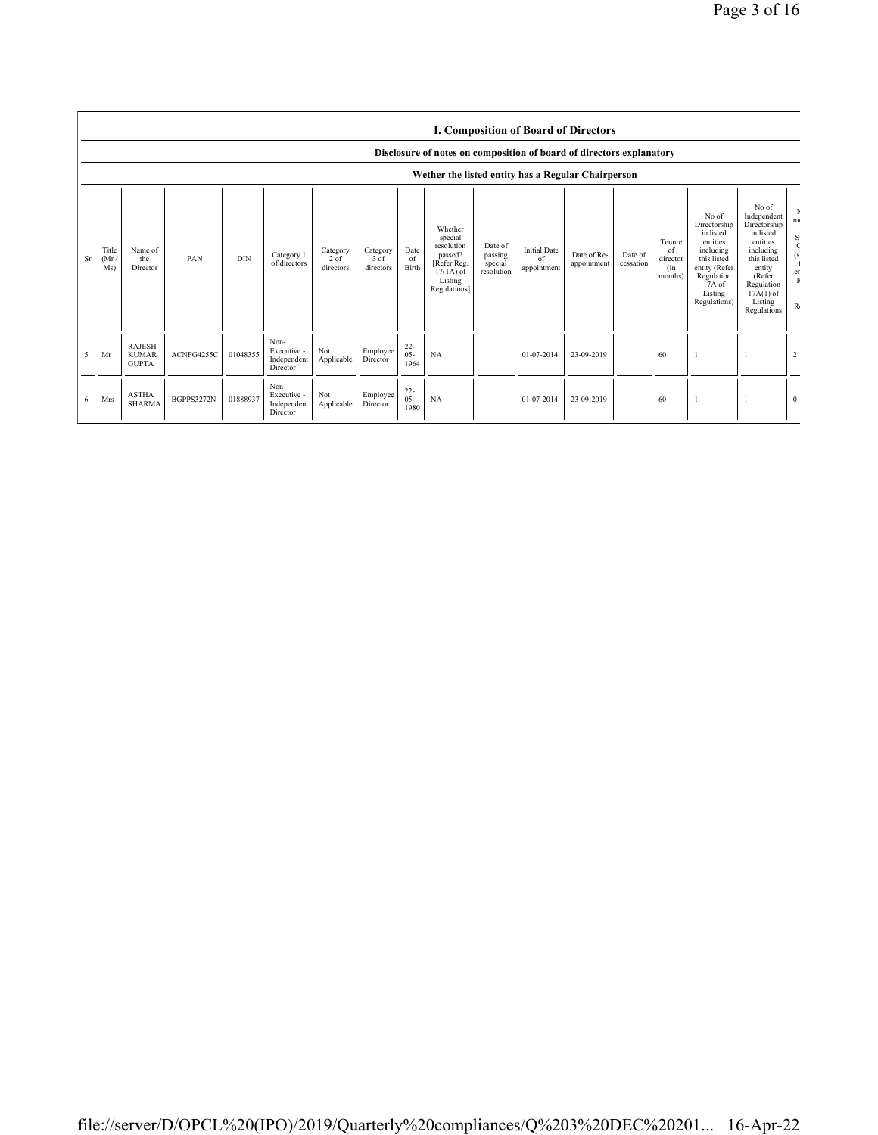|    |                                                    |                                               |            |            |                                                |                                 |                               |                          |                                                                                                      |                                             |                                          | <b>I. Composition of Board of Directors</b> |                      |                                            |                                                                                                                                                |                                                                                                                                                                      |                                      |
|----|----------------------------------------------------|-----------------------------------------------|------------|------------|------------------------------------------------|---------------------------------|-------------------------------|--------------------------|------------------------------------------------------------------------------------------------------|---------------------------------------------|------------------------------------------|---------------------------------------------|----------------------|--------------------------------------------|------------------------------------------------------------------------------------------------------------------------------------------------|----------------------------------------------------------------------------------------------------------------------------------------------------------------------|--------------------------------------|
|    |                                                    |                                               |            |            |                                                |                                 |                               |                          | Disclosure of notes on composition of board of directors explanatory                                 |                                             |                                          |                                             |                      |                                            |                                                                                                                                                |                                                                                                                                                                      |                                      |
|    | Wether the listed entity has a Regular Chairperson |                                               |            |            |                                                |                                 |                               |                          |                                                                                                      |                                             |                                          |                                             |                      |                                            |                                                                                                                                                |                                                                                                                                                                      |                                      |
| Sr | Title<br>(Mr)<br>Ms)                               | Name of<br>the<br>Director                    | PAN        | <b>DIN</b> | Category 1<br>of directors                     | Category<br>$2$ of<br>directors | Category<br>3 of<br>directors | Date<br>of<br>Birth      | Whether<br>special<br>resolution<br>passed?<br>[Refer Reg.<br>$17(1A)$ of<br>Listing<br>Regulations] | Date of<br>passing<br>special<br>resolution | <b>Initial Date</b><br>of<br>appointment | Date of Re-<br>appointment                  | Date of<br>cessation | Tenure<br>of<br>director<br>(in<br>months) | No of<br>Directorship<br>in listed<br>entities<br>including<br>this listed<br>entity (Refer<br>Regulation<br>17A of<br>Listing<br>Regulations) | No of<br>Independent<br>Directorship<br>in listed<br>entities<br>including<br>this listed<br>entity<br>(Refer<br>Regulation<br>$17A(1)$ of<br>Listing<br>Regulations | m <sub>1</sub><br>S<br>er<br>$R_{0}$ |
| 5  | Mr                                                 | <b>RAJESH</b><br><b>KUMAR</b><br><b>GUPTA</b> | ACNPG4255C | 01048355   | Non-<br>Executive -<br>Independent<br>Director | Not<br>Applicable               | Employee<br>Director          | $22 -$<br>$05 -$<br>1964 | NA                                                                                                   |                                             | 01-07-2014                               | 23-09-2019                                  |                      | 60                                         |                                                                                                                                                |                                                                                                                                                                      | $\overline{2}$                       |
| 6  | Mrs                                                | <b>ASTHA</b><br><b>SHARMA</b>                 | BGPPS3272N | 01888937   | Non-<br>Executive -<br>Independent<br>Director | Not<br>Applicable               | Employee<br>Director          | $^{22}_{05}$<br>1980     | NA                                                                                                   |                                             | 01-07-2014                               | 23-09-2019                                  |                      | 60                                         |                                                                                                                                                |                                                                                                                                                                      | $\Omega$                             |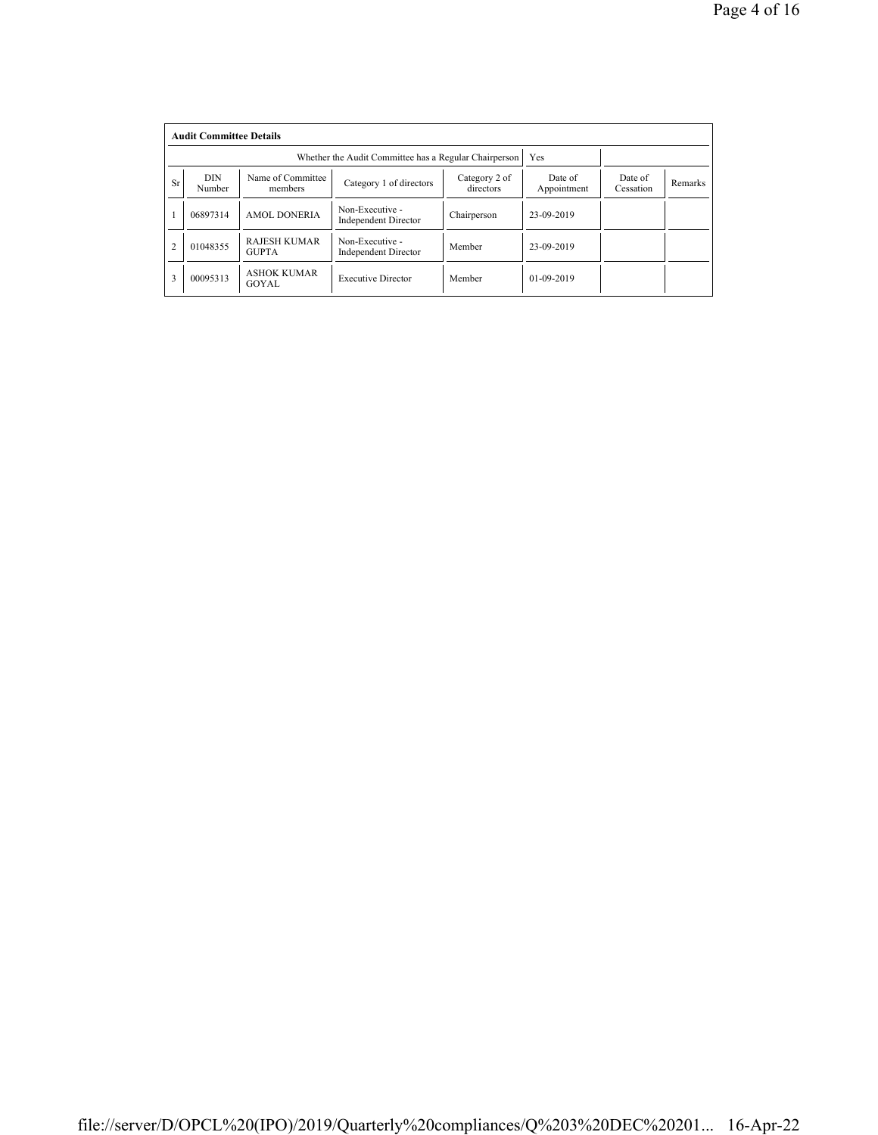|                | <b>Audit Committee Details</b> |                                     |                                                       |                            |                        |                      |         |  |  |
|----------------|--------------------------------|-------------------------------------|-------------------------------------------------------|----------------------------|------------------------|----------------------|---------|--|--|
|                |                                |                                     | Whether the Audit Committee has a Regular Chairperson |                            | Yes                    |                      |         |  |  |
| <b>Sr</b>      | <b>DIN</b><br>Number           | Name of Committee<br>members        | Category 1 of directors                               | Category 2 of<br>directors | Date of<br>Appointment | Date of<br>Cessation | Remarks |  |  |
|                | 06897314                       | <b>AMOL DONERIA</b>                 | Non-Executive -<br><b>Independent Director</b>        | Chairperson                | 23-09-2019             |                      |         |  |  |
| $\overline{2}$ | 01048355                       | <b>RAJESH KUMAR</b><br><b>GUPTA</b> | Non-Executive -<br><b>Independent Director</b>        | Member                     | 23-09-2019             |                      |         |  |  |
| 3              | 00095313                       | <b>ASHOK KUMAR</b><br>GOYAL         | <b>Executive Director</b>                             | Member                     | $01 - 09 - 2019$       |                      |         |  |  |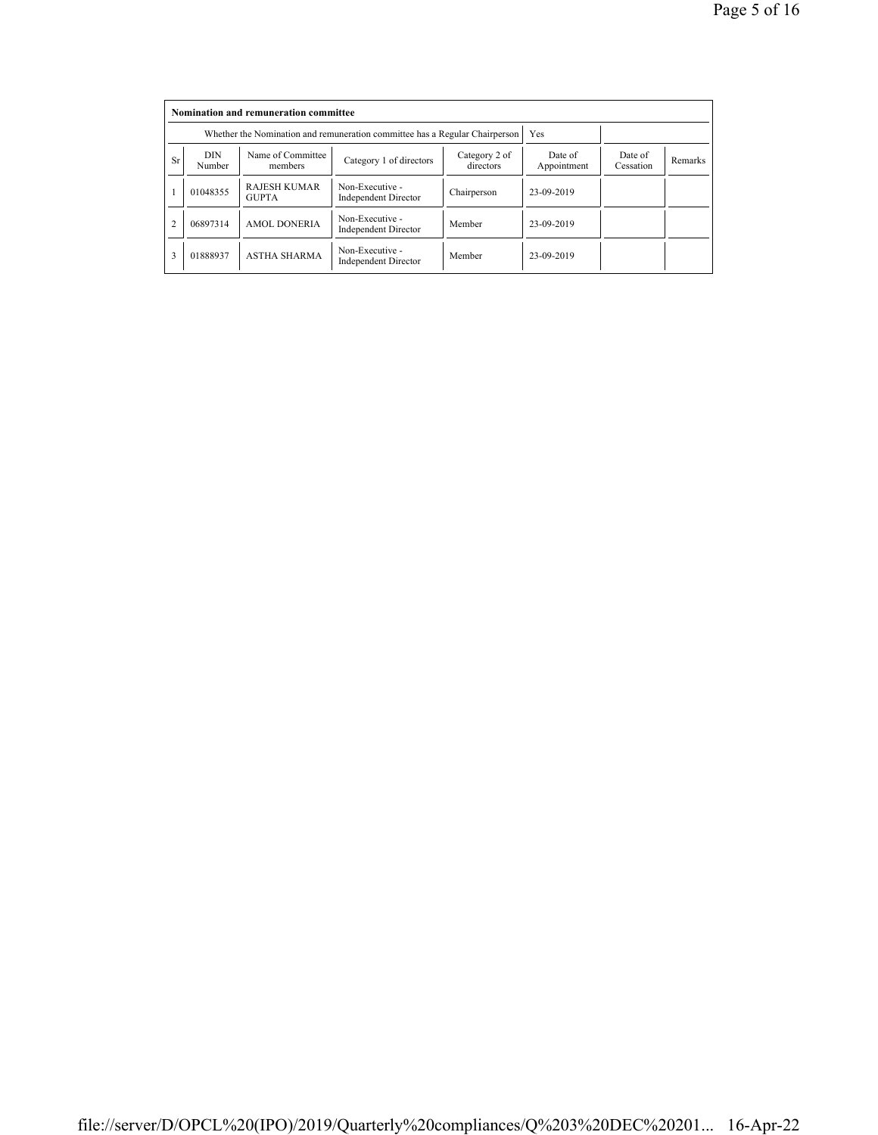|           | Nomination and remuneration committee |                                                                             |                                                |                            |                        |                      |         |  |  |
|-----------|---------------------------------------|-----------------------------------------------------------------------------|------------------------------------------------|----------------------------|------------------------|----------------------|---------|--|--|
|           |                                       | Whether the Nomination and remuneration committee has a Regular Chairperson |                                                | Yes                        |                        |                      |         |  |  |
| <b>Sr</b> | <b>DIN</b><br>Number                  | Name of Committee<br>members                                                | Category 1 of directors                        | Category 2 of<br>directors | Date of<br>Appointment | Date of<br>Cessation | Remarks |  |  |
|           | 01048355                              | <b>RAJESH KUMAR</b><br><b>GUPTA</b>                                         | Non-Executive -<br><b>Independent Director</b> | Chairperson                | 23-09-2019             |                      |         |  |  |
|           | 06897314                              | <b>AMOL DONERIA</b>                                                         | Non-Executive -<br><b>Independent Director</b> | Member                     | 23-09-2019             |                      |         |  |  |
| 3         | 01888937                              | <b>ASTHA SHARMA</b>                                                         | Non-Executive -<br><b>Independent Director</b> | Member                     | 23-09-2019             |                      |         |  |  |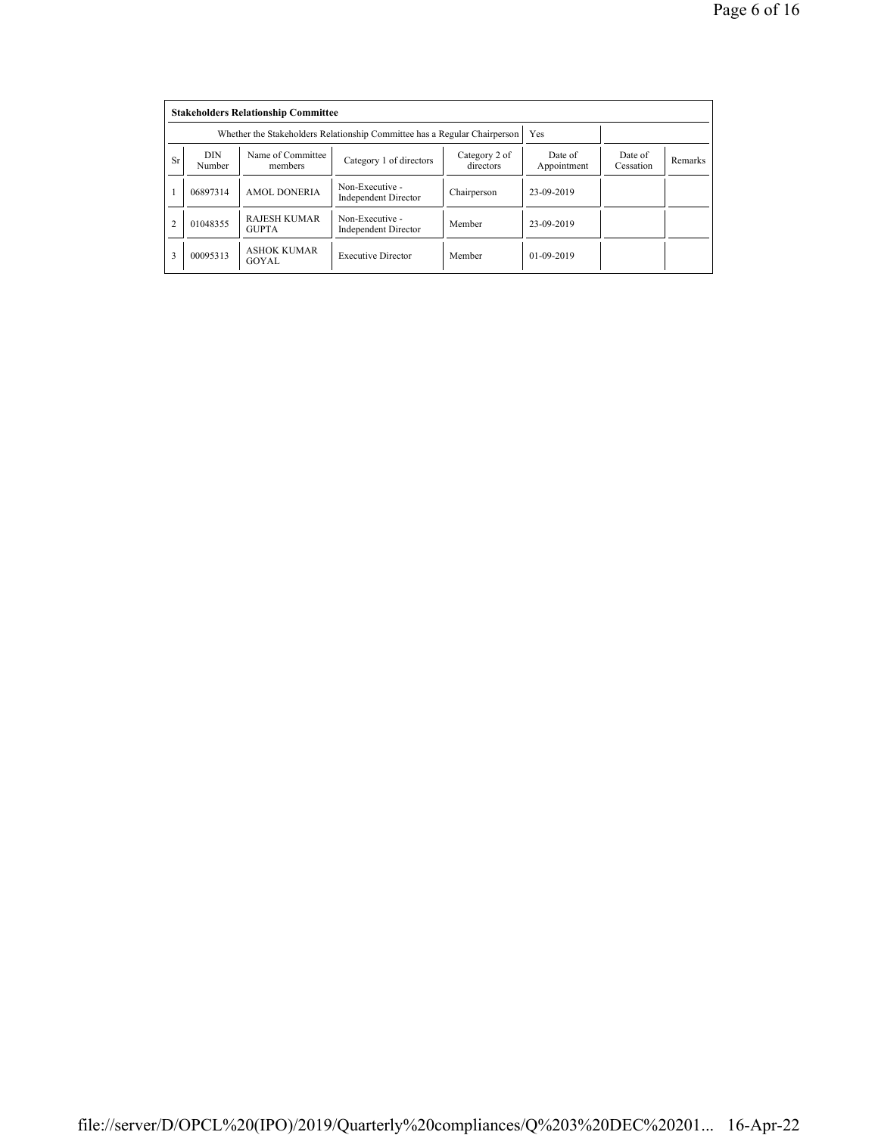|                | <b>Stakeholders Relationship Committee</b> |                                                                           |                                                |                            |                        |                      |         |  |  |
|----------------|--------------------------------------------|---------------------------------------------------------------------------|------------------------------------------------|----------------------------|------------------------|----------------------|---------|--|--|
|                |                                            | Whether the Stakeholders Relationship Committee has a Regular Chairperson |                                                | Yes                        |                        |                      |         |  |  |
| <b>Sr</b>      | <b>DIN</b><br>Number                       | Name of Committee<br>members                                              | Category 1 of directors                        | Category 2 of<br>directors | Date of<br>Appointment | Date of<br>Cessation | Remarks |  |  |
|                | 06897314                                   | <b>AMOL DONERIA</b>                                                       | Non-Executive -<br><b>Independent Director</b> | Chairperson                | 23-09-2019             |                      |         |  |  |
| $\overline{2}$ | 01048355                                   | <b>RAJESH KUMAR</b><br><b>GUPTA</b>                                       | Non-Executive -<br><b>Independent Director</b> | Member                     | 23-09-2019             |                      |         |  |  |
| 3              | 00095313                                   | <b>ASHOK KUMAR</b><br>GOYAL                                               | <b>Executive Director</b>                      | Member                     | $01-09-2019$           |                      |         |  |  |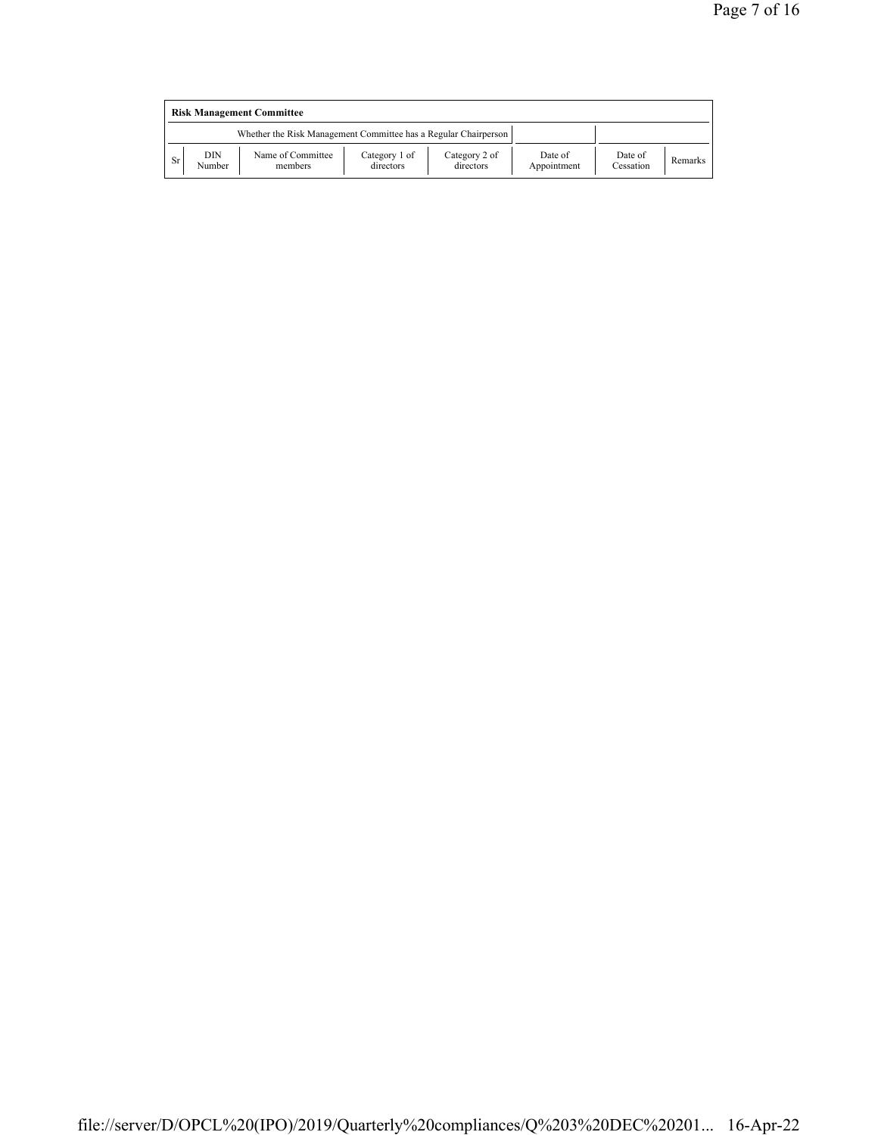|    | <b>Risk Management Committee</b> |                                                                 |                            |                            |                        |                      |         |  |  |
|----|----------------------------------|-----------------------------------------------------------------|----------------------------|----------------------------|------------------------|----------------------|---------|--|--|
|    |                                  | Whether the Risk Management Committee has a Regular Chairperson |                            |                            |                        |                      |         |  |  |
| Sr | DIN<br>Number                    | Name of Committee<br>members                                    | Category 1 of<br>directors | Category 2 of<br>directors | Date of<br>Appointment | Date of<br>Cessation | Remarks |  |  |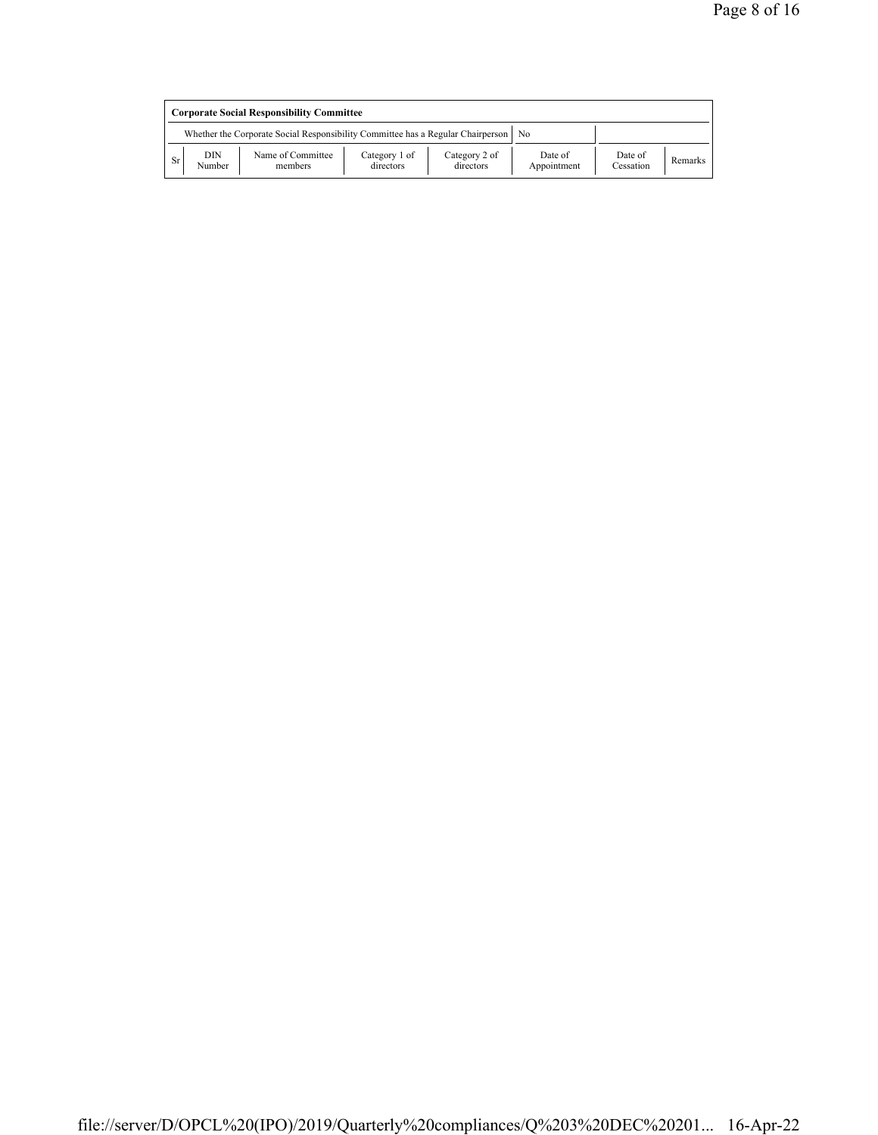|    | <b>Corporate Social Responsibility Committee</b> |                                                                                 |                            |                            |                        |                      |         |  |
|----|--------------------------------------------------|---------------------------------------------------------------------------------|----------------------------|----------------------------|------------------------|----------------------|---------|--|
|    |                                                  | Whether the Corporate Social Responsibility Committee has a Regular Chairperson |                            |                            | N <sub>0</sub>         |                      |         |  |
| Sr | DIN<br>Number                                    | Name of Committee<br>members                                                    | Category 1 of<br>directors | Category 2 of<br>directors | Date of<br>Appointment | Date of<br>Cessation | Remarks |  |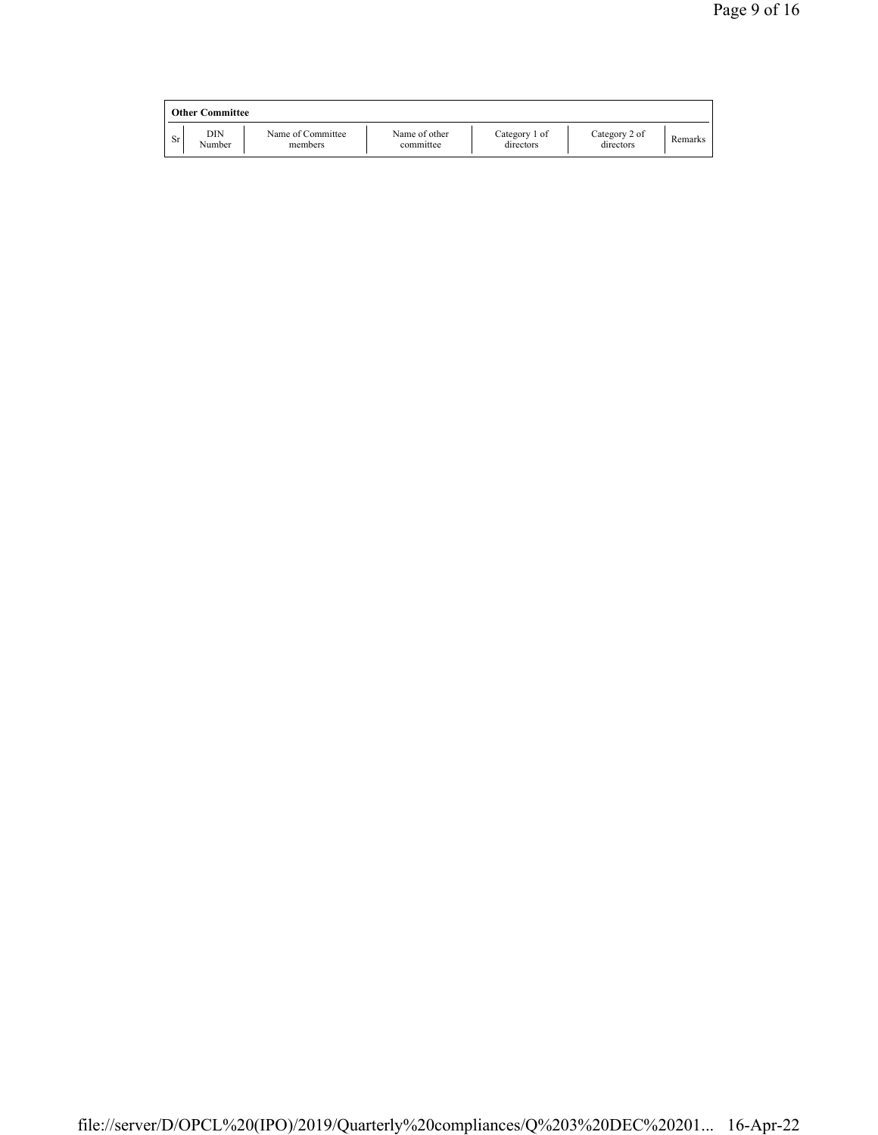|    | <b>Other Committee</b> |                              |                            |                            |                            |         |
|----|------------------------|------------------------------|----------------------------|----------------------------|----------------------------|---------|
| Sr | DIN<br>Number          | Name of Committee<br>members | Name of other<br>committee | Category 1 of<br>directors | Category 2 of<br>directors | Remarks |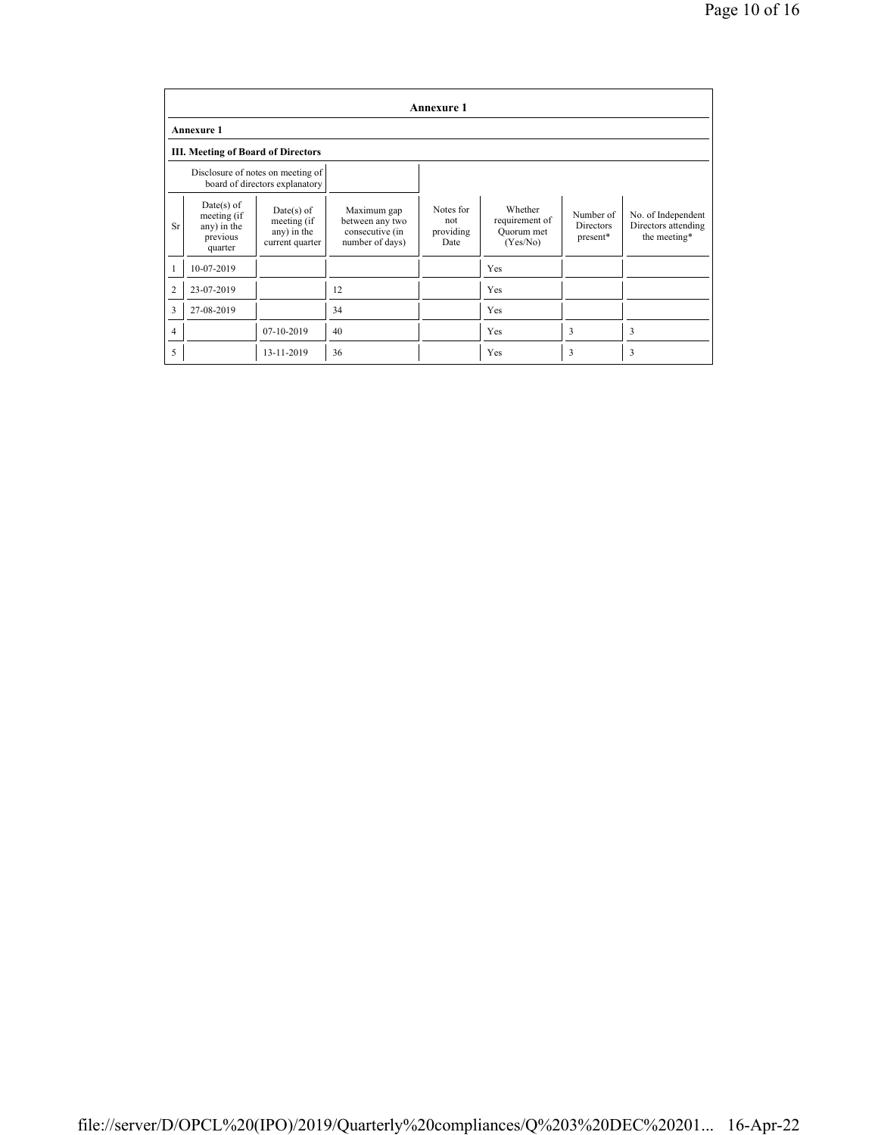|                | <b>Annexure 1</b>                                                 |                                                                     |                                                                      |                                       |                                                     |                                           |                                                           |  |
|----------------|-------------------------------------------------------------------|---------------------------------------------------------------------|----------------------------------------------------------------------|---------------------------------------|-----------------------------------------------------|-------------------------------------------|-----------------------------------------------------------|--|
|                | <b>Annexure 1</b>                                                 |                                                                     |                                                                      |                                       |                                                     |                                           |                                                           |  |
|                | <b>III. Meeting of Board of Directors</b>                         |                                                                     |                                                                      |                                       |                                                     |                                           |                                                           |  |
|                |                                                                   | Disclosure of notes on meeting of<br>board of directors explanatory |                                                                      |                                       |                                                     |                                           |                                                           |  |
| <b>Sr</b>      | $Date(s)$ of<br>meeting (if<br>any) in the<br>previous<br>quarter | $Date(s)$ of<br>meeting (if<br>any) in the<br>current quarter       | Maximum gap<br>between any two<br>consecutive (in<br>number of days) | Notes for<br>not<br>providing<br>Date | Whether<br>requirement of<br>Quorum met<br>(Yes/No) | Number of<br><b>Directors</b><br>present* | No. of Independent<br>Directors attending<br>the meeting* |  |
|                | 10-07-2019                                                        |                                                                     |                                                                      |                                       | Yes                                                 |                                           |                                                           |  |
| $\overline{2}$ | 23-07-2019                                                        |                                                                     | 12                                                                   |                                       | Yes                                                 |                                           |                                                           |  |
| 3              | 27-08-2019                                                        |                                                                     | 34                                                                   |                                       | Yes                                                 |                                           |                                                           |  |
| 4              |                                                                   | 07-10-2019                                                          | 40                                                                   |                                       | Yes                                                 | 3                                         | 3                                                         |  |
| 5              |                                                                   | 13-11-2019                                                          | 36                                                                   |                                       | Yes                                                 | 3                                         | 3                                                         |  |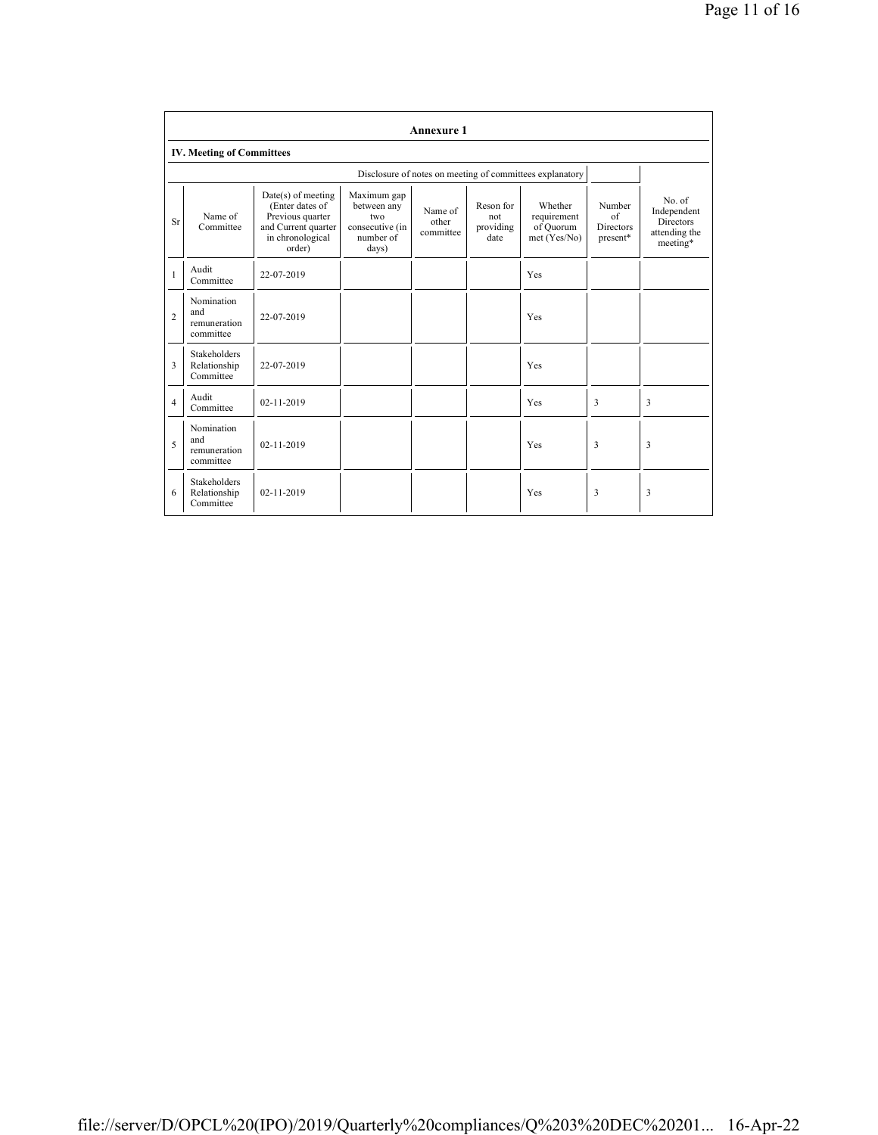|                | <b>Annexure 1</b>                                |                                                                                                                  |                                                                            |                               |                                       |                                                          |                                              |                                                                        |  |
|----------------|--------------------------------------------------|------------------------------------------------------------------------------------------------------------------|----------------------------------------------------------------------------|-------------------------------|---------------------------------------|----------------------------------------------------------|----------------------------------------------|------------------------------------------------------------------------|--|
|                | <b>IV. Meeting of Committees</b>                 |                                                                                                                  |                                                                            |                               |                                       |                                                          |                                              |                                                                        |  |
|                |                                                  |                                                                                                                  |                                                                            |                               |                                       | Disclosure of notes on meeting of committees explanatory |                                              |                                                                        |  |
| Sr             | Name of<br>Committee                             | $Date(s)$ of meeting<br>(Enter dates of<br>Previous quarter<br>and Current quarter<br>in chronological<br>order) | Maximum gap<br>between any<br>two<br>consecutive (in<br>number of<br>days) | Name of<br>other<br>committee | Reson for<br>not<br>providing<br>date | Whether<br>requirement<br>of Quorum<br>met (Yes/No)      | Number<br>of<br><b>Directors</b><br>present* | No. of<br>Independent<br><b>Directors</b><br>attending the<br>meeting* |  |
| $\mathbf{1}$   | Audit<br>Committee                               | 22-07-2019                                                                                                       |                                                                            |                               |                                       | Yes                                                      |                                              |                                                                        |  |
| $\overline{c}$ | Nomination<br>and<br>remuneration<br>committee   | 22-07-2019                                                                                                       |                                                                            |                               |                                       | Yes                                                      |                                              |                                                                        |  |
| 3              | <b>Stakeholders</b><br>Relationship<br>Committee | 22-07-2019                                                                                                       |                                                                            |                               |                                       | Yes                                                      |                                              |                                                                        |  |
| $\overline{4}$ | Audit<br>Committee                               | 02-11-2019                                                                                                       |                                                                            |                               |                                       | Yes                                                      | 3                                            | 3                                                                      |  |
| 5              | Nomination<br>and<br>remuneration<br>committee   | 02-11-2019                                                                                                       |                                                                            |                               |                                       | Yes                                                      | 3                                            | 3                                                                      |  |
| 6              | <b>Stakeholders</b><br>Relationship<br>Committee | $02 - 11 - 2019$                                                                                                 |                                                                            |                               |                                       | Yes                                                      | 3                                            | 3                                                                      |  |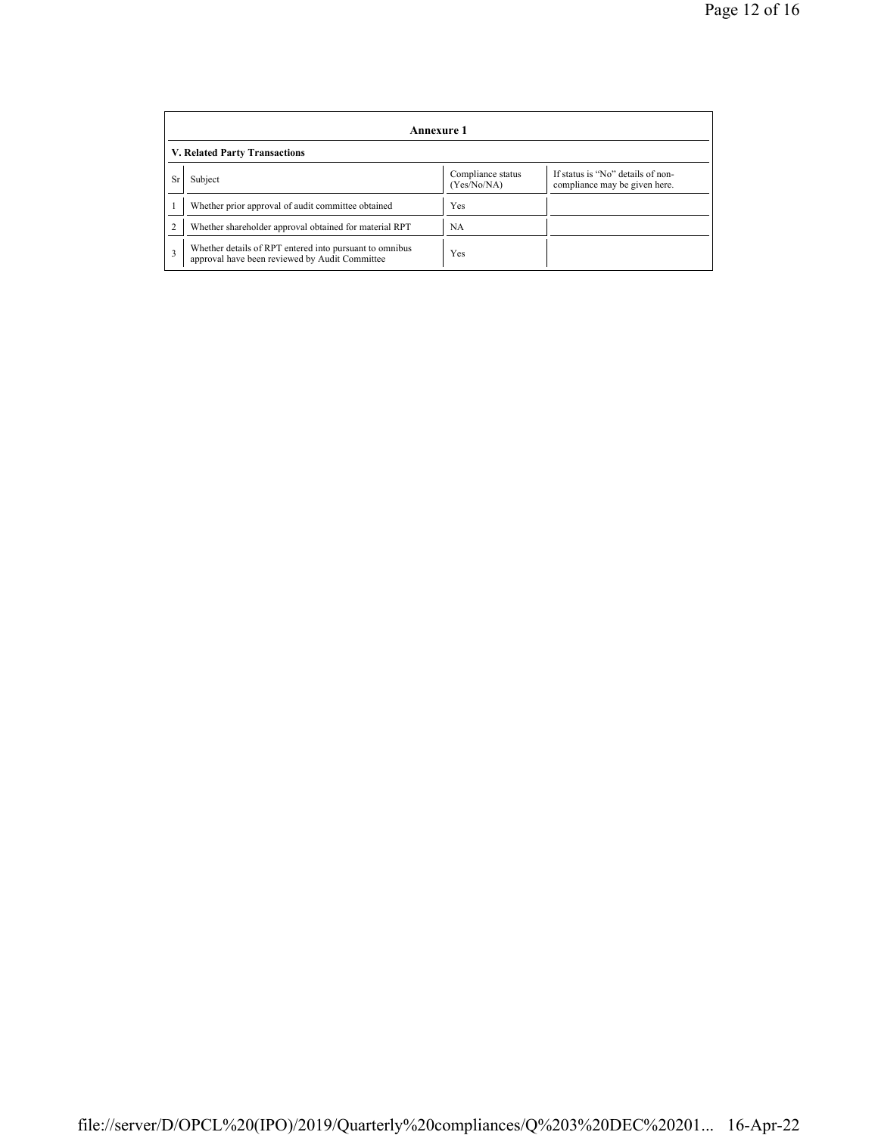|           | Annexure 1                                                                                                |                                  |                                                                    |  |  |  |  |  |
|-----------|-----------------------------------------------------------------------------------------------------------|----------------------------------|--------------------------------------------------------------------|--|--|--|--|--|
|           | V. Related Party Transactions                                                                             |                                  |                                                                    |  |  |  |  |  |
| <b>Sr</b> | Subject                                                                                                   | Compliance status<br>(Yes/No/NA) | If status is "No" details of non-<br>compliance may be given here. |  |  |  |  |  |
|           | Whether prior approval of audit committee obtained                                                        | Yes                              |                                                                    |  |  |  |  |  |
|           | Whether shareholder approval obtained for material RPT                                                    | NA                               |                                                                    |  |  |  |  |  |
| 3         | Whether details of RPT entered into pursuant to omnibus<br>approval have been reviewed by Audit Committee | Yes                              |                                                                    |  |  |  |  |  |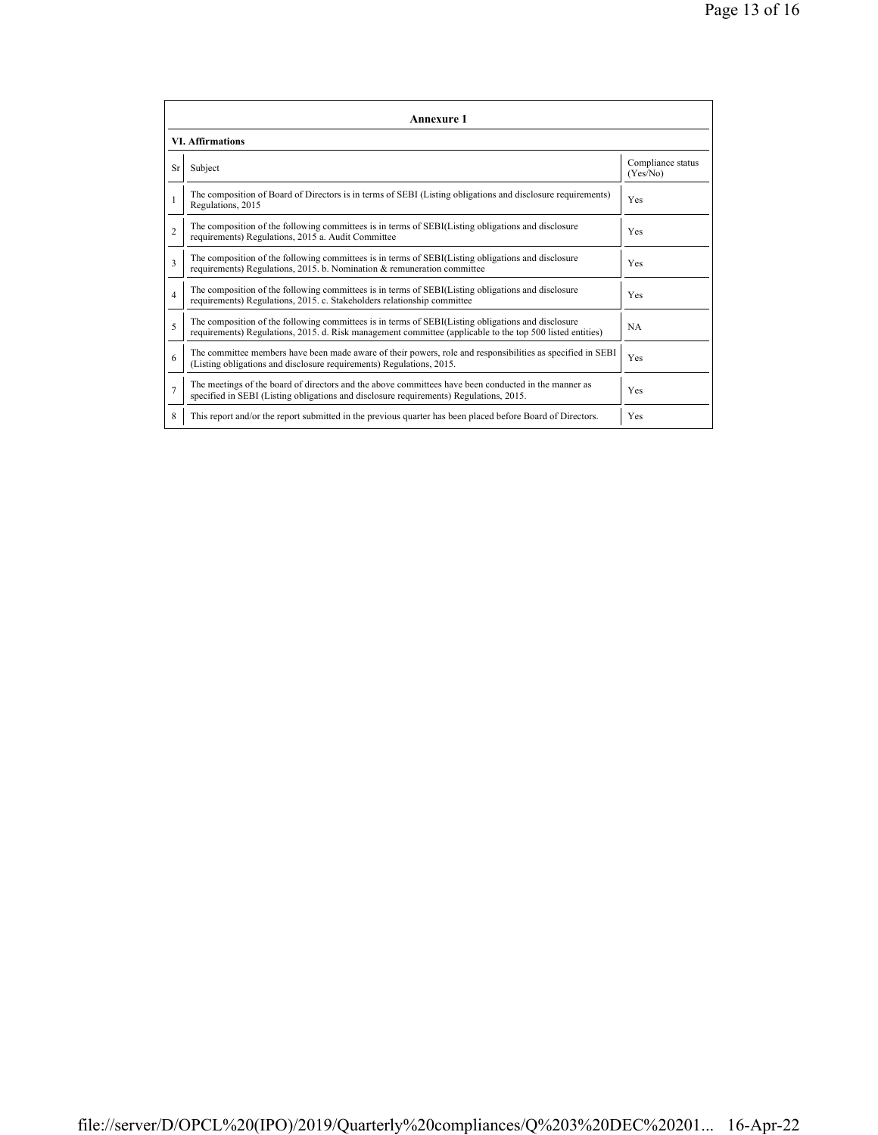|                         | <b>Annexure 1</b>                                                                                                                                                                                               |                               |  |  |  |
|-------------------------|-----------------------------------------------------------------------------------------------------------------------------------------------------------------------------------------------------------------|-------------------------------|--|--|--|
| <b>VI. Affirmations</b> |                                                                                                                                                                                                                 |                               |  |  |  |
| <b>Sr</b>               | Subject                                                                                                                                                                                                         | Compliance status<br>(Yes/No) |  |  |  |
|                         | The composition of Board of Directors is in terms of SEBI (Listing obligations and disclosure requirements)<br>Regulations, 2015                                                                                | Yes                           |  |  |  |
| $\mathfrak{D}$          | The composition of the following committees is in terms of SEBI(Listing obligations and disclosure<br>requirements) Regulations, 2015 a. Audit Committee                                                        | <b>Yes</b>                    |  |  |  |
| 3                       | The composition of the following committees is in terms of SEBI(Listing obligations and disclosure<br>requirements) Regulations, 2015. b. Nomination & remuneration committee                                   | Yes                           |  |  |  |
| $\overline{4}$          | The composition of the following committees is in terms of SEBI(Listing obligations and disclosure<br>requirements) Regulations, 2015. c. Stakeholders relationship committee                                   | Yes                           |  |  |  |
| 5                       | The composition of the following committees is in terms of SEBI(Listing obligations and disclosure<br>requirements) Regulations, 2015. d. Risk management committee (applicable to the top 500 listed entities) | <b>NA</b>                     |  |  |  |
| 6                       | The committee members have been made aware of their powers, role and responsibilities as specified in SEBI<br>(Listing obligations and disclosure requirements) Regulations, 2015.                              | Yes                           |  |  |  |
| $\overline{7}$          | The meetings of the board of directors and the above committees have been conducted in the manner as<br>specified in SEBI (Listing obligations and disclosure requirements) Regulations, 2015.                  | Yes                           |  |  |  |
| 8                       | This report and/or the report submitted in the previous quarter has been placed before Board of Directors.                                                                                                      | Yes                           |  |  |  |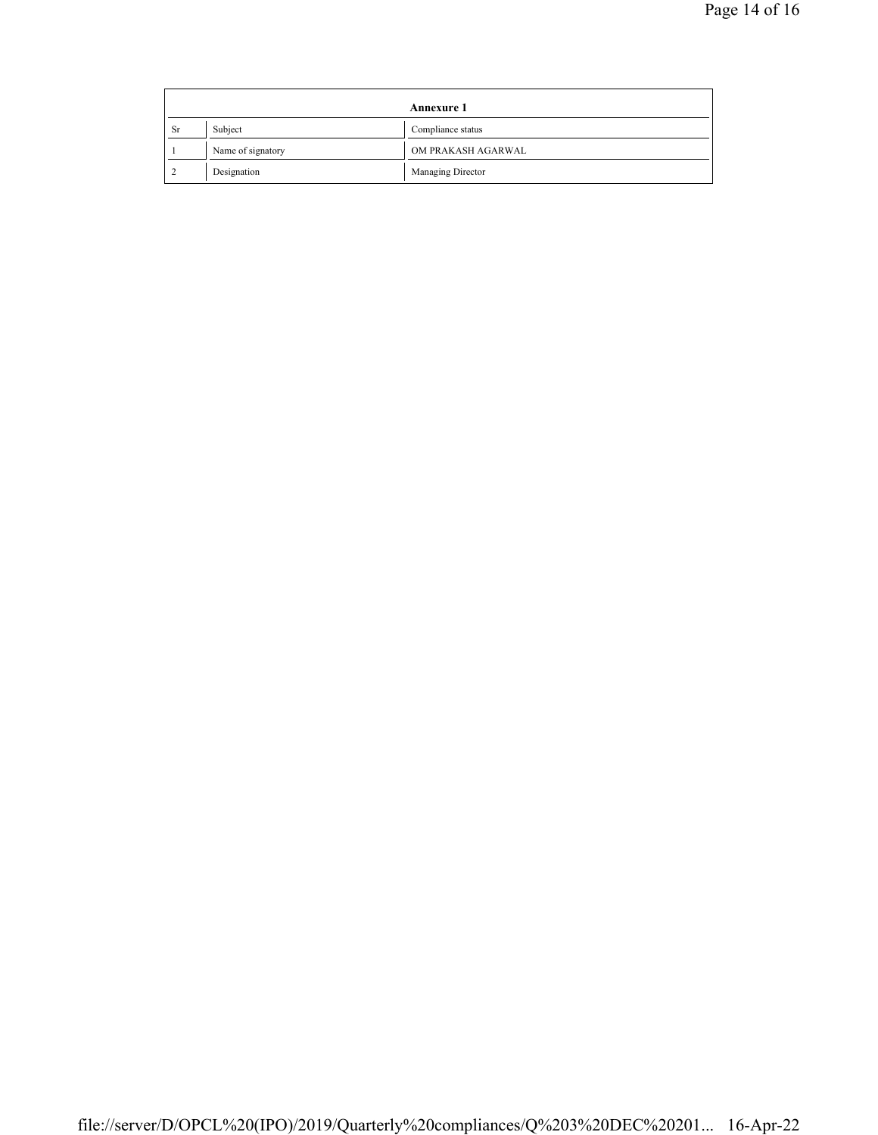| Annexure 1 |                   |                    |  |
|------------|-------------------|--------------------|--|
| <b>Sr</b>  | Subject           | Compliance status  |  |
|            | Name of signatory | OM PRAKASH AGARWAL |  |
|            | Designation       | Managing Director  |  |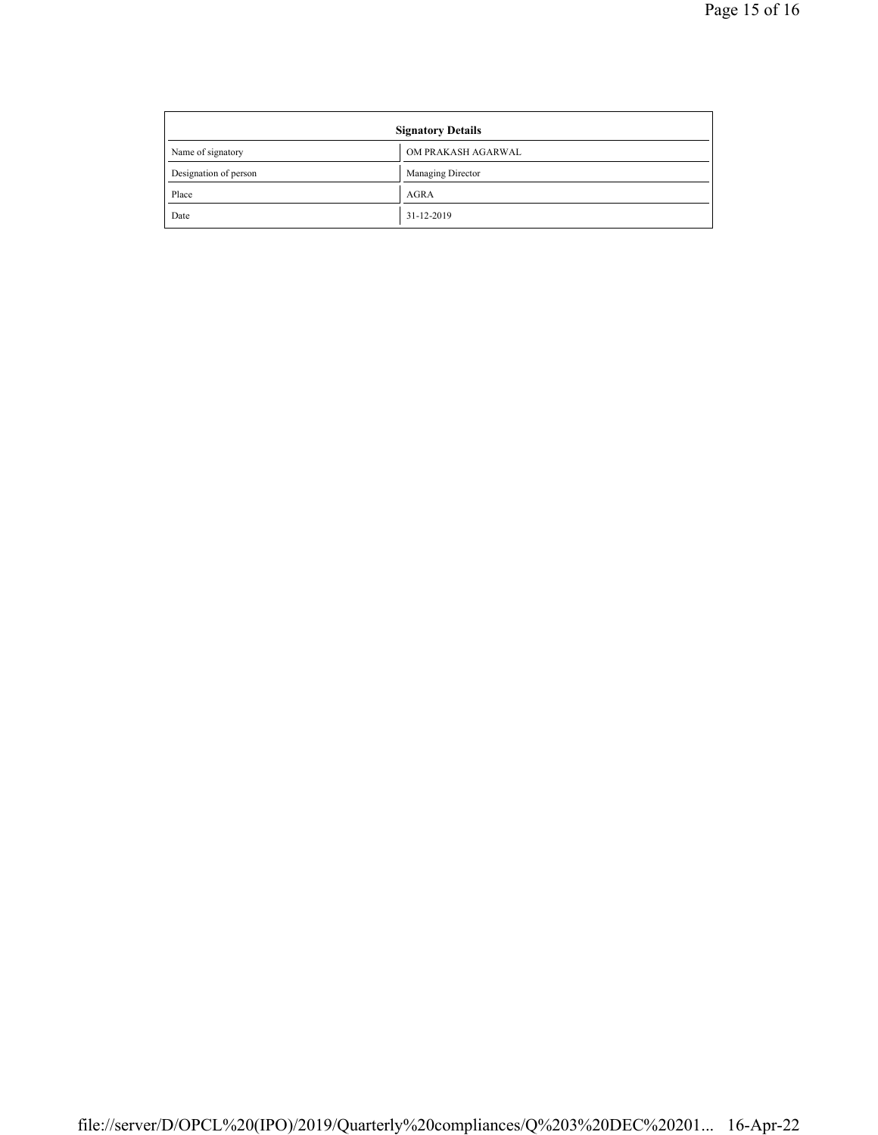| <b>Signatory Details</b> |                    |  |
|--------------------------|--------------------|--|
| Name of signatory        | OM PRAKASH AGARWAL |  |
| Designation of person    | Managing Director  |  |
| Place                    | <b>AGRA</b>        |  |
| Date                     | 31-12-2019         |  |